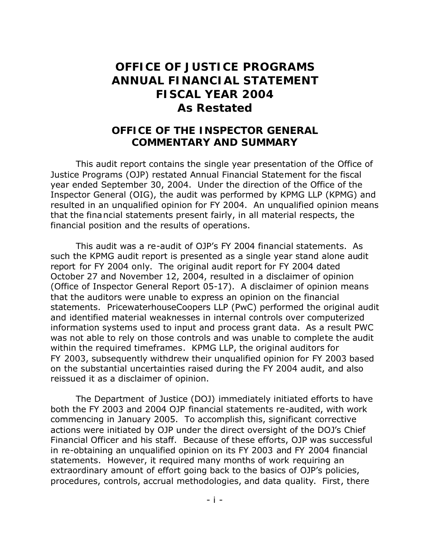## **OFFICE OF JUSTICE PROGRAMS ANNUAL FINANCIAL STATEMENT FISCAL YEAR 2004 As Restated**

## **OFFICE OF THE INSPECTOR GENERAL COMMENTARY AND SUMMARY**

This audit report contains the single year presentation of the Office of Justice Programs (OJP) restated Annual Financial Statement for the fiscal year ended September 30, 2004. Under the direction of the Office of the Inspector General (OIG), the audit was performed by KPMG LLP (KPMG) and resulted in an unqualified opinion for FY 2004. An unqualified opinion means that the financial statements present fairly, in all material respects, the financial position and the results of operations.

 within the required timeframes. KPMG LLP, the original auditors for This audit was a re-audit of OJP's FY 2004 financial statements. As such the KPMG audit report is presented as a single year stand alone audit report for FY 2004 only. The original audit report for FY 2004 dated October 27 and November 12, 2004, resulted in a disclaimer of opinion (Office of Inspector General Report 05-17). A disclaimer of opinion means that the auditors were unable to express an opinion on the financial statements. PricewaterhouseCoopers LLP (PwC) performed the original audit and identified material weaknesses in internal controls over computerized information systems used to input and process grant data. As a result PWC was not able to rely on those controls and was unable to complete the audit FY 2003, subsequently withdrew their unqualified opinion for FY 2003 based on the substantial uncertainties raised during the FY 2004 audit, and also reissued it as a disclaimer of opinion.

The Department of Justice (DOJ) immediately initiated efforts to have both the FY 2003 and 2004 OJP financial statements re-audited, with work commencing in January 2005. To accomplish this, significant corrective actions were initiated by OJP under the direct oversight of the DOJ's Chief Financial Officer and his staff. Because of these efforts, OJP was successful in re-obtaining an unqualified opinion on its FY 2003 and FY 2004 financial statements. However, it required many months of work requiring an extraordinary amount of effort going back to the basics of OJP's policies, procedures, controls, accrual methodologies, and data quality. First, there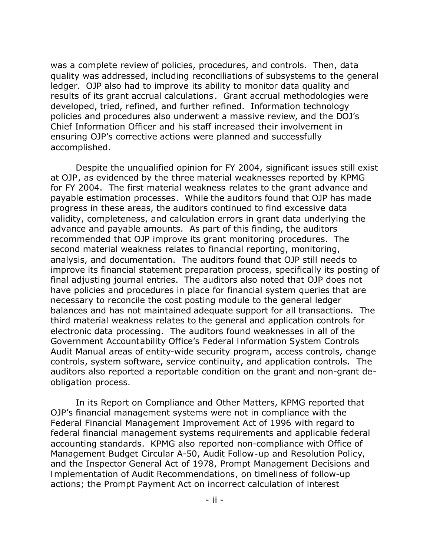was a complete review of policies, procedures, and controls. Then, data quality was addressed, including reconciliations of subsystems to the general ledger. OJP also had to improve its ability to monitor data quality and results of its grant accrual calculations. Grant accrual methodologies were developed, tried, refined, and further refined. Information technology policies and procedures also underwent a massive review, and the DOJ's Chief Information Officer and his staff increased their involvement in ensuring OJP's corrective actions were planned and successfully accomplished.

 recommended that OJP improve its grant monitoring procedures. The Despite the unqualified opinion for FY 2004, significant issues still exist at OJP, as evidenced by the three material weaknesses reported by KPMG for FY 2004. The first material weakness relates to the grant advance and payable estimation processes. While the auditors found that OJP has made progress in these areas, the auditors continued to find excessive data validity, completeness, and calculation errors in grant data underlying the advance and payable amounts. As part of this finding, the auditors second material weakness relates to financial reporting, monitoring, analysis, and documentation. The auditors found that OJP still needs to improve its financial statement preparation process, specifically its posting of final adjusting journal entries. The auditors also noted that OJP does not have policies and procedures in place for financial system queries that are necessary to reconcile the cost posting module to the general ledger balances and has not maintained adequate support for all transactions. The third material weakness relates to the general and application controls for electronic data processing. The auditors found weaknesses in all of the Government Accountability Office's *Federal Information System Controls Audit Manual* areas of entity-wide security program, access controls, change controls, system software, service continuity, and application controls. The auditors also reported a reportable condition on the grant and non-grant deobligation process.

In its Report on Compliance and Other Matters, KPMG reported that OJP's financial management systems were not in compliance with the Federal Financial Management Improvement Act of 1996 with regard to federal financial management systems requirements and applicable federal accounting standards. KPMG also reported non-compliance with Office of Management Budget Circular A-50, *Audit Follow-up and Resolution Policy,*  and the Inspector General Act of 1978, *Prompt Management Decisions and Implementation of Audit Recommendations,* on timeliness of follow-up actions; the Prompt Payment Act on incorrect calculation of interest